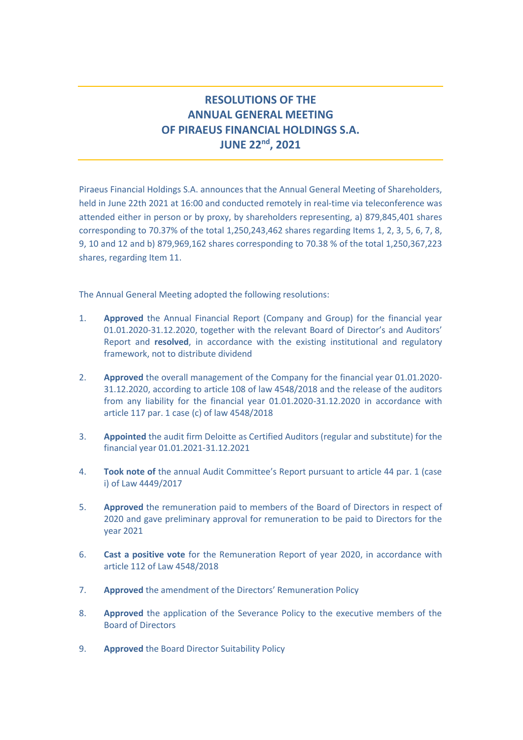## **RESOLUTIONS OF THE ANNUAL GENERAL MEETING OF PIRAEUS FINANCIAL HOLDINGS S.A. JUNE 22 nd, 2021**

Piraeus Financial Holdings S.A. announces that the Annual General Meeting of Shareholders, held in June 22th 2021 at 16:00 and conducted remotely in real-time via teleconference was attended either in person or by proxy, by shareholders representing, a) 879,845,401 shares corresponding to 70.37% of the total 1,250,243,462 shares regarding Items 1, 2, 3, 5, 6, 7, 8, 9, 10 and 12 and b) 879,969,162 shares corresponding to 70.38 % of the total 1,250,367,223 shares, regarding Item 11.

The Annual General Meeting adopted the following resolutions:

- 1. **Approved** the Annual Financial Report (Company and Group) for the financial year 01.01.2020-31.12.2020, together with the relevant Board of Director's and Auditors' Report and **resolved**, in accordance with the existing institutional and regulatory framework, not to distribute dividend
- 2. **Approved** the overall management of the Company for the financial year 01.01.2020- 31.12.2020, according to article 108 of law 4548/2018 and the release of the auditors from any liability for the financial year 01.01.2020-31.12.2020 in accordance with article 117 par. 1 case (c) of law 4548/2018
- 3. **Appointed** the audit firm Deloitte as Certified Auditors (regular and substitute) for the financial year 01.01.2021-31.12.2021
- 4. **Took note of** the annual Audit Committee's Report pursuant to article 44 par. 1 (case i) of Law 4449/2017
- 5. **Approved** the remuneration paid to members of the Board of Directors in respect of 2020 and gave preliminary approval for remuneration to be paid to Directors for the year 2021
- 6. **Cast a positive vote** for the Remuneration Report of year 2020, in accordance with article 112 of Law 4548/2018
- 7. **Approved** the amendment of the Directors' Remuneration Policy
- 8. **Approved** the application of the Severance Policy to the executive members of the Board of Directors
- 9. **Approved** the Board Director Suitability Policy